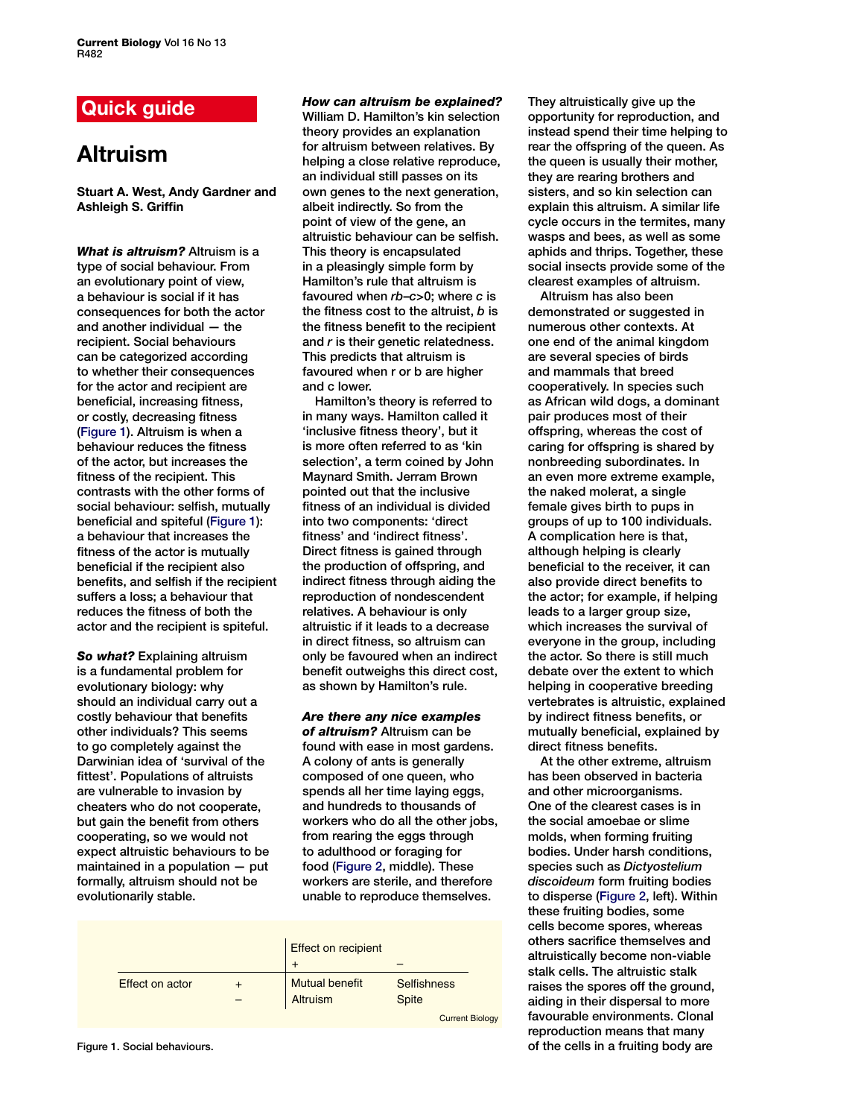## **Quick guide**

# **Altruism**

**Stuart A. West, Andy Gardner and Ashleigh S. Griffin**

*What is altruism?* Altruism is a type of social behaviour. From an evolutionary point of view, a behaviour is social if it has consequences for both the actor and another individual — the recipient. Social behaviours can be categorized according to whether their consequences for the actor and recipient are beneficial, increasing fitness, or costly, decreasing fitness (Figure 1). Altruism is when a behaviour reduces the fitness of the actor, but increases the fitness of the recipient. This contrasts with the other forms of social behaviour: selfish, mutually beneficial and spiteful (Figure 1): a behaviour that increases the fitness of the actor is mutually beneficial if the recipient also benefits, and selfish if the recipient suffers a loss; a behaviour that reduces the fitness of both the actor and the recipient is spiteful.

*So what?* Explaining altruism is a fundamental problem for evolutionary biology: why should an individual carry out a costly behaviour that benefits other individuals? This seems to go completely against the Darwinian idea of 'survival of the fittest'. Populations of altruists are vulnerable to invasion by cheaters who do not cooperate, but gain the benefit from others cooperating, so we would not expect altruistic behaviours to be maintained in a population — put formally, altruism should not be evolutionarily stable.

*How can altruism be explained?* 

William D. Hamilton's kin selection theory provides an explanation for altruism between relatives. By helping a close relative reproduce, an individual still passes on its own genes to the next generation, albeit indirectly. So from the point of view of the gene, an altruistic behaviour can be selfish. This theory is encapsulated in a pleasingly simple form by Hamilton's rule that altruism is favoured when *rb*–*c*>0; where *c* is the fitness cost to the altruist, *b* is the fitness benefit to the recipient and *r* is their genetic relatedness. This predicts that altruism is favoured when r or b are higher and c lower.

Hamilton's theory is referred to in many ways. Hamilton called it 'inclusive fitness theory', but it is more often referred to as 'kin selection', a term coined by John Maynard Smith. Jerram Brown pointed out that the inclusive fitness of an individual is divided into two components: 'direct fitness' and 'indirect fitness'. Direct fitness is gained through the production of offspring, and indirect fitness through aiding the reproduction of nondescendent relatives. A behaviour is only altruistic if it leads to a decrease in direct fitness, so altruism can only be favoured when an indirect benefit outweighs this direct cost, as shown by Hamilton's rule.

*Are there any nice examples* 

*of altruism?* Altruism can be found with ease in most gardens. A colony of ants is generally composed of one queen, who spends all her time laying eggs, and hundreds to thousands of workers who do all the other jobs, from rearing the eggs through to adulthood or foraging for food [\(Figure 2,](#page-1-0) middle). These workers are sterile, and therefore unable to reproduce themselves.

|                        |                       | <b>Effect on recipient</b> |  |
|------------------------|-----------------------|----------------------------|--|
|                        |                       |                            |  |
| <b>Effect on actor</b> | <b>Mutual benefit</b> | <b>Selfishness</b>         |  |
|                        | Altruism              | <b>Spite</b>               |  |
|                        |                       | <b>Current Biology</b>     |  |

They altruistically give up the opportunity for reproduction, and instead spend their time helping to rear the offspring of the queen. As the queen is usually their mother, they are rearing brothers and sisters, and so kin selection can explain this altruism. A similar life cycle occurs in the termites, many wasps and bees, as well as some aphids and thrips. Together, these social insects provide some of the clearest examples of altruism.

Altruism has also been demonstrated or suggested in numerous other contexts. At one end of the animal kingdom are several species of birds and mammals that breed cooperatively. In species such as African wild dogs, a dominant pair produces most of their offspring, whereas the cost of caring for offspring is shared by nonbreeding subordinates. In an even more extreme example, the naked molerat, a single female gives birth to pups in groups of up to 100 individuals. A complication here is that, although helping is clearly beneficial to the receiver, it can also provide direct benefits to the actor; for example, if helping leads to a larger group size. which increases the survival of everyone in the group, including the actor. So there is still much debate over the extent to which helping in cooperative breeding vertebrates is altruistic, explained by indirect fitness benefits, or mutually beneficial, explained by direct fitness benefits.

At the other extreme, altruism has been observed in bacteria and other microorganisms. One of the clearest cases is in the social amoebae or slime molds, when forming fruiting bodies. Under harsh conditions, species such as *Dictyostelium discoideum* form fruiting bodies to disperse [\(Figure 2,](#page-1-0) left). Within these fruiting bodies, some cells become spores, whereas others sacrifice themselves and altruistically become non-viable stalk cells. The altruistic stalk raises the spores off the ground, aiding in their dispersal to more favourable environments. Clonal reproduction means that many of the cells in a fruiting body are